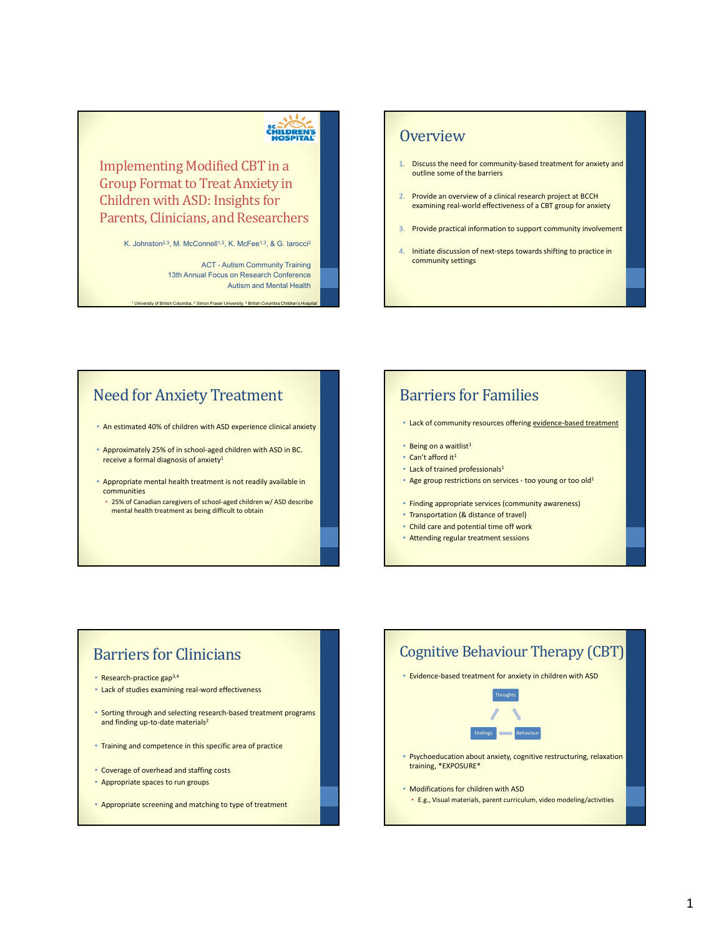# CHILDRENS

Implementing Modified CBT in a Group Format to Treat Anxiety in Children with ASD: Insights for Parents, Clinicians, and Researchers

K. Johnston<sup>2,3</sup>, M. McConnell<sup>1,3</sup>, K. McFee<sup>1,3</sup>, & G. Iarocci<sup>2</sup>

ACT - Autism Community Training 13th Annual Focus on Research Conference Autism and Mental Health

<sup>1</sup> University of British Columbia, <sup>2</sup> Simon Fraser University, <sup>3</sup> British Columbia Children's

### **Overview**

- 1. Discuss the need for community-based treatment for anxiety and outline some of the barriers
- 2. Provide an overview of a clinical research project at BCCH examining real‐world effectiveness of a CBT group for anxiety
- 3. Provide practical information to support community involvement
- 4. Initiate discussion of next-steps towards shifting to practice in community settings

### **Need for Anxiety Treatment**

• An estimated 40% of children with ASD experience clinical anxiety

- Approximately 25% of in school‐aged children with ASD in BC. receive a formal diagnosis of anxiety<sup>1</sup>
- Appropriate mental health treatment is not readily available in communities
- 25% of Canadian caregivers of school‐aged children w/ ASD describe mental health treatment as being difficult to obtain

### **Barriers for Families**

- Lack of community resources offering evidence-based treatment
- $\cdot$  Being on a waitlist<sup>1</sup>
- Can't afford it<sup>1</sup>
- Lack of trained professionals<sup>1</sup>
- Age group restrictions on services too young or too old<sup>1</sup>
- Finding appropriate services (community awareness)
- Transportation (& distance of travel)
- Child care and potential time off work
- Attending regular treatment sessions

### **Barriers for Clinicians**

- Research‐practice gap3,4
- Lack of studies examining real‐word effectiveness
- Sorting through and selecting research-based treatment programs and finding up-to-date materials<sup>2</sup>
- Training and competence in this specific area of practice
- Coverage of overhead and staffing costs
- Appropriate spaces to run groups
- Appropriate screening and matching to type of treatment

# Cognitive Behaviour Therapy (CBT) • Evidence‐based treatment for anxiety in children with ASD • Psychoeducation about anxiety, cognitive restructuring, relaxation training, \*EXPOSURE\* • Modifications for children with ASD • E.g., Visual materials, parent curriculum, video modeling/activities Thoughts Feelings < Behaviour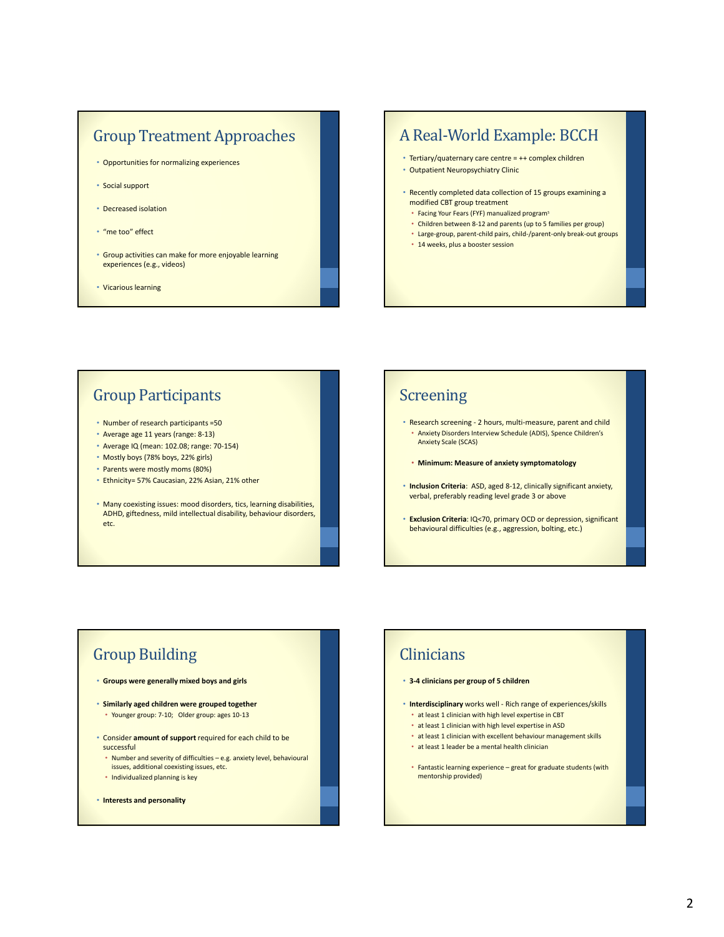### **Group Treatment Approaches**

- Opportunities for normalizing experiences
- Social support
- Decreased isolation
- "me too" effect
- Group activities can make for more enjoyable learning experiences (e.g., videos)
- Vicarious learning

### A Real-World Example: BCCH

- Tertiary/quaternary care centre = ++ complex children
- Outpatient Neuropsychiatry Clinic
- Recently completed data collection of 15 groups examining a modified CBT group treatment
	- Facing Your Fears (FYF) manualized program<sup>s</sup>
- Children between 8‐12 and parents (up to 5 families per group)
- Large‐group, parent‐child pairs, child‐/parent‐only break‐out groups
- 14 weeks, plus a booster session

### **Group Participants**

- Number of research participants =50
- Average age 11 years (range: 8‐13)
- Average IQ (mean: 102.08; range: 70‐154)
- Mostly boys (78% boys, 22% girls)
- Parents were mostly moms (80%)
- Ethnicity= 57% Caucasian, 22% Asian, 21% other
- Many coexisting issues: mood disorders, tics, learning disabilities, ADHD, giftedness, mild intellectual disability, behaviour disorders, etc.

### **Screening**

- Research screening ‐ 2 hours, multi‐measure, parent and child • Anxiety Disorders Interview Schedule (ADIS), Spence Children's Anxiety Scale (SCAS)
- **Minimum: Measure of anxiety symptomatology**
- **Inclusion Criteria**: ASD, aged 8‐12, clinically significant anxiety, verbal, preferably reading level grade 3 or above
- **Exclusion Criteria**: IQ<70, primary OCD or depression, significant behavioural difficulties (e.g., aggression, bolting, etc.)

### **Group Building**

- **Groups were generally mixed boys and girls**
- **Similarly aged children were grouped together** • Younger group: 7‐10; Older group: ages 10‐13
- Consider **amount of support** required for each child to be successful
	- Number and severity of difficulties e.g. anxiety level, behavioural issues, additional coexisting issues, etc.
- Individualized planning is key
- **Interests and personality**

### **Clinicians**

#### • **3‐4 clinicians per group of 5 children**

- **Interdisciplinary** works well ‐ Rich range of experiences/skills • at least 1 clinician with high level expertise in CBT
	- at least 1 clinician with high level expertise in ASD
	- at least 1 clinician with excellent behaviour management skills
	- at least 1 leader be a mental health clinician
- Fantastic learning experience great for graduate students (with mentorship provided)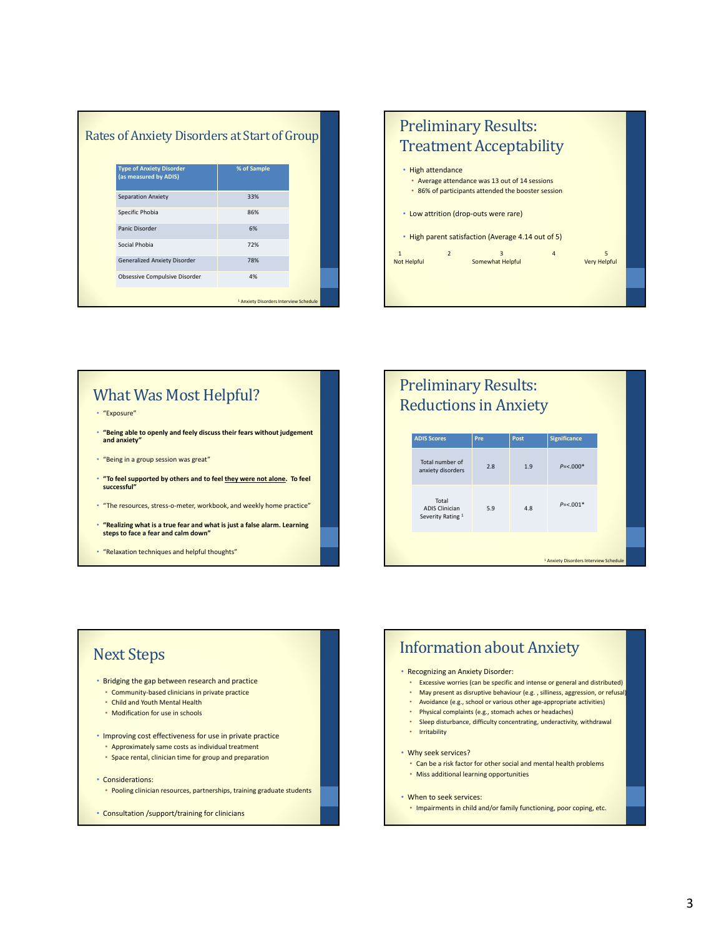| <b>Type of Anxiety Disorder</b><br>(as measured by ADIS) | % of Sample |
|----------------------------------------------------------|-------------|
| Separation Anxiety                                       | 33%         |
| Specific Phobia                                          | 86%         |
| Panic Disorder                                           | 6%          |
| Social Phobia                                            | 72%         |
| <b>Generalized Anxiety Disorder</b>                      | 78%         |
| Obsessive Compulsive Disorder                            | 4%          |



# What Was Most Helpful?

- "Exposure"
- **"Being able to openly and feely discuss their fears without judgement and anxiety"**
- "Being in a group session was great"
- **"To feel supported by others and to feel they were not alone. To feel successful"**
- "The resources, stress‐o‐meter, workbook, and weekly home practice"
- "Realizing what is a true fear and what is just a false alarm. Learning<br>steps to face a fear and calm down"
- "Relaxation techniques and helpful thoughts"

### Preliminary Results: **Reductions in Anxiety**

| <b>ADIS Scores</b>                                  | Pre | Post | <b>Significance</b>                               |  |
|-----------------------------------------------------|-----|------|---------------------------------------------------|--|
| Total number of<br>anxiety disorders                | 2.8 | 1.9  | $P = < 0.000*$                                    |  |
| Total<br><b>ADIS Clinician</b><br>Severity Rating 1 | 5.9 | 4.8  | $P = < 0.01$ *                                    |  |
|                                                     |     |      | <sup>1</sup> Anxiety Disorders Interview Schedule |  |

### **Next Steps**

- Bridging the gap between research and practice • Community‐based clinicians in private practice
	- Child and Youth Mental Health
	- Modification for use in schools
- Improving cost effectiveness for use in private practice
	- Approximately same costs as individual treatment
	- Space rental, clinician time for group and preparation
- Considerations:
	- Pooling clinician resources, partnerships, training graduate students
- Consultation /support/training for clinicians

### **Information about Anxiety**

#### • Recognizing an Anxiety Disorder:

- Excessive worries (can be specific and intense or general and distributed)
- May present as disruptive behaviour (e.g. , silliness, aggression, or refusal)
- Avoidance (e.g., school or various other age‐appropriate activities)
- Physical complaints (e.g., stomach aches or headaches)
- Sleep disturbance, difficulty concentrating, underactivity, withdrawal
- Irritability

#### • Why seek services?

- Can be a risk factor for other social and mental health problems
- Miss additional learning opportunities
- When to seek services:
- Impairments in child and/or family functioning, poor coping, etc.